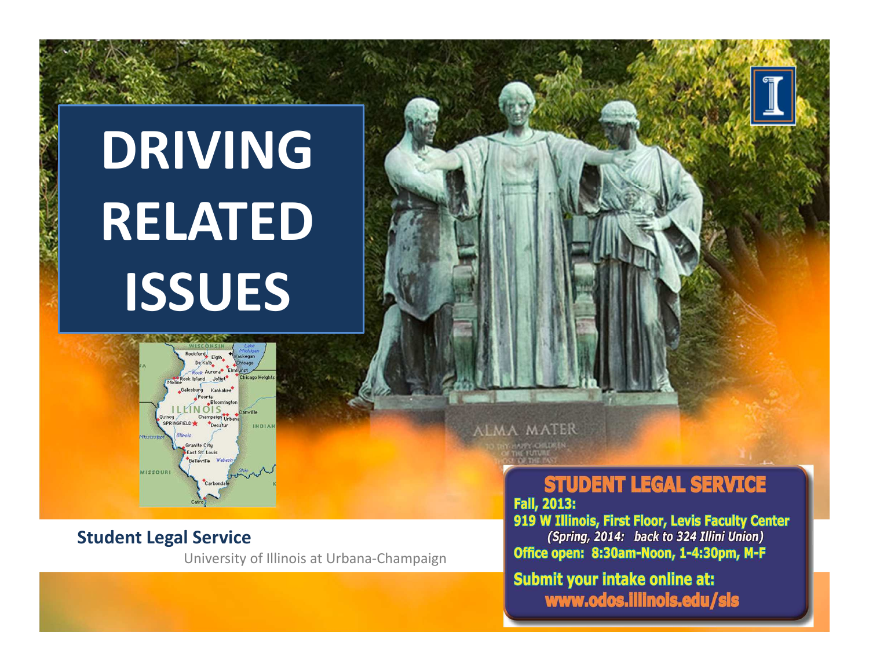# **DRIVING RELATED ISSUES**



#### **Student Legal Service**

University of Illinois at Urbana-Champaign

**ALMA MATER** 

### **STUDENT LEGAL SERVICE**

**Fall, 2013:** 919 W Illinois, First Floor, Levis Faculty Center

(Spring, 2014: back to 324 Illini Union) Office open: 8:30am-Noon, 1-4:30pm, M-F

**Submit your intake online at:** www.odos.illinois.edu/sls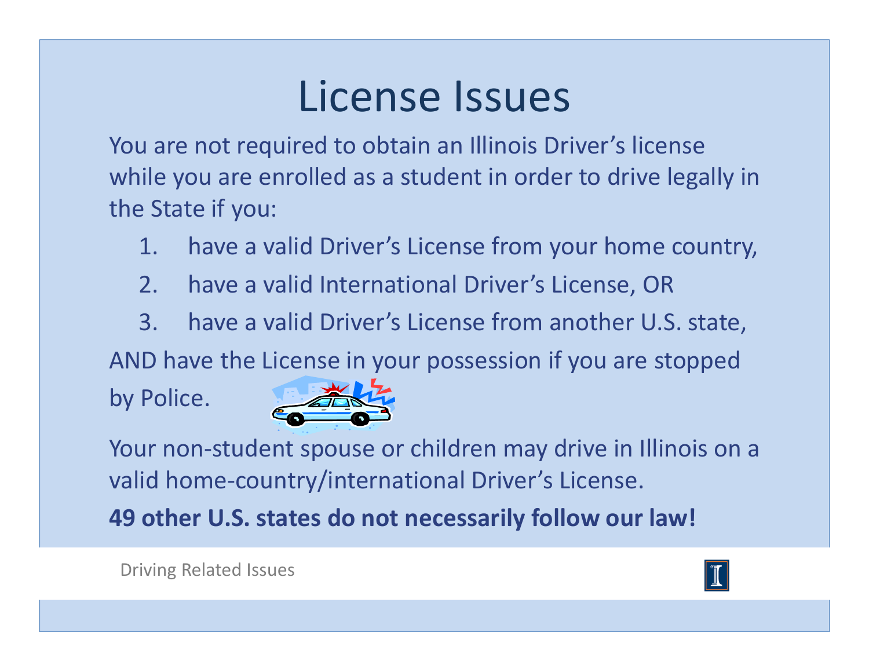### License Issues

You are not required to obtain an Illinois Driver's license while you are enrolled as a student in order to drive legally in the State if you:

- 1. have a valid Driver's License from your home country,
- 2. have a valid International Driver's License, OR
- 3. have a valid Driver's License from another U.S. state,

AND have the License in your possession if you are stopped

by Police.



Your non-student spouse or children may drive in Illinois on a valid home-country/international Driver's License.

**49 other U.S. states do not necessarily follow our law!**

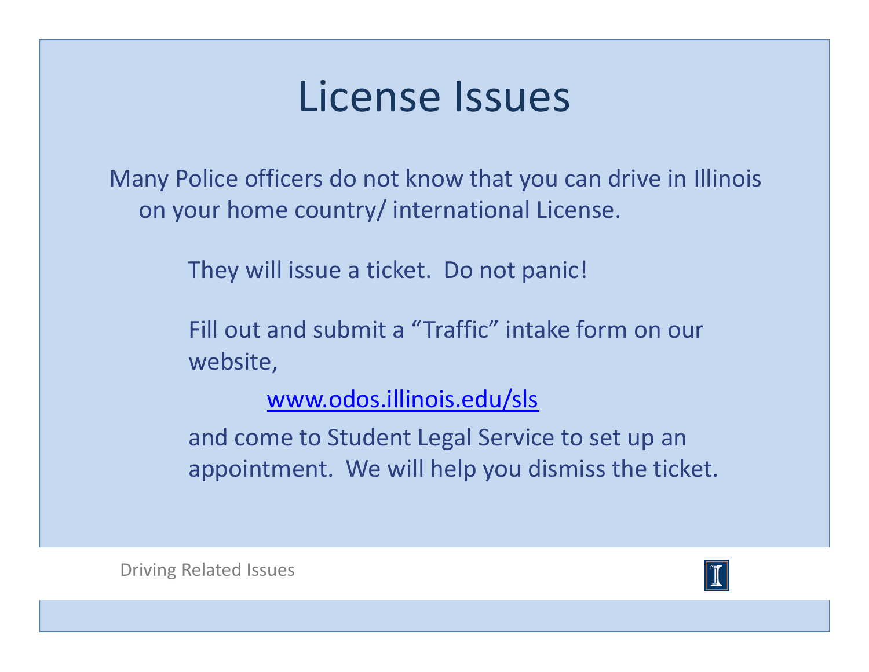### License Issues

Many Police officers do not know that you can drive in Illinois on your home country/ international License.

They will issue a ticket. Do not panic!

Fill out and submit a "Traffic" intake form on our website,

www.odos.illinois.edu/sls

and come to Student Legal Service to set up an appointment. We will help you dismiss the ticket.

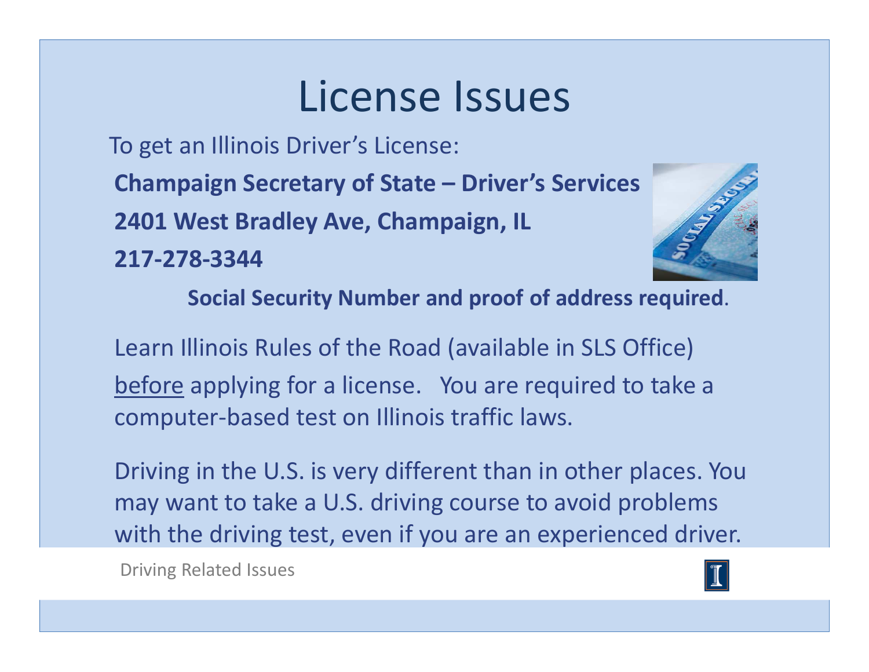### License Issues

To get an Illinois Driver's License:

**Champaign Secretary of State – Driver's Services**

**2401 West Bradley Ave, Champaign, IL**

**217-278-3344**



**Social Security Number and proof of address required**.

Learn Illinois Rules of the Road (available in SLS Office)before applying for a license. You are required to take a computer-based test on Illinois traffic laws.

Driving in the U.S. is very different than in other places. You may want to take a U.S. driving course to avoid problems with the driving test, even if you are an experienced driver.

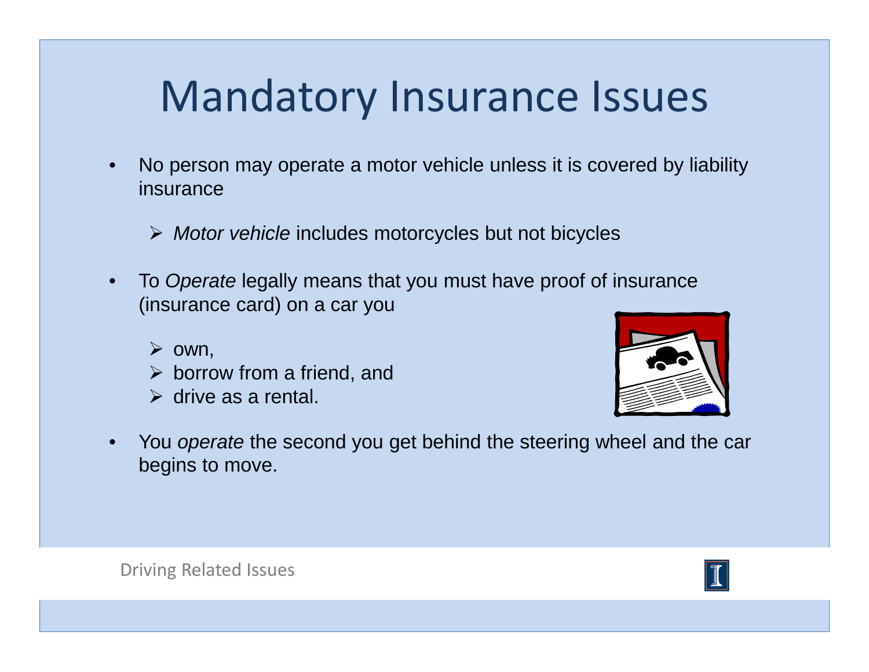### Mandatory Insurance Issues

- • No person may operate a motor vehicle unless it is covered by liability insurance
	- > Motor vehicle includes motorcycles but not bicycles
- •To Operate legally means that you must have proof of insurance (insurance card) on a car you
	- $\triangleright$  own,
	- $\triangleright$  borrow from a friend, and
	- $\triangleright$  drive as a rental.



•You operate the second you get behind the steering wheel and the car begins to move.

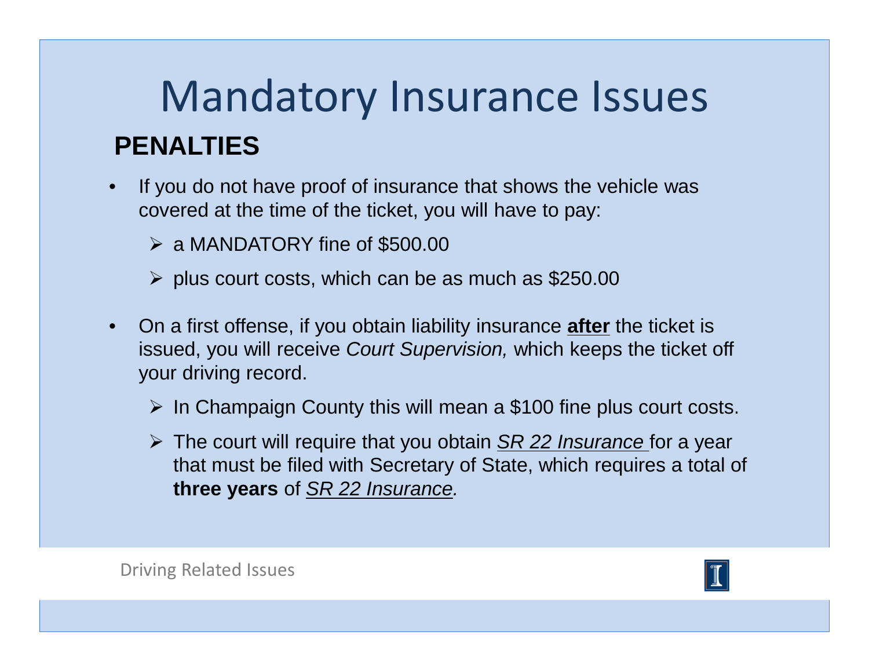### Mandatory Insurance Issues**PENALTIES**

- • If you do not have proof of insurance that shows the vehicle was covered at the time of the ticket, you will have to pay:
	- a MANDATORY fine of \$500.00
	- $\triangleright$  plus court costs, which can be as much as \$250.00
- • On a first offense, if you obtain liability insurance **after** the ticket is issued, you will receive *Court Supervision,* which keeps the ticket off your driving record.
	- $\triangleright$  In Champaign County this will mean a \$100 fine plus court costs.
	- The court will require that you obtain  $\frac{SR}{22}$  Insurance for a year<br>that must be filed with Secretary of State, which requires a total of that must be filed with Secretary of State, which requires a total of **three years** of SR 22 Insurance.

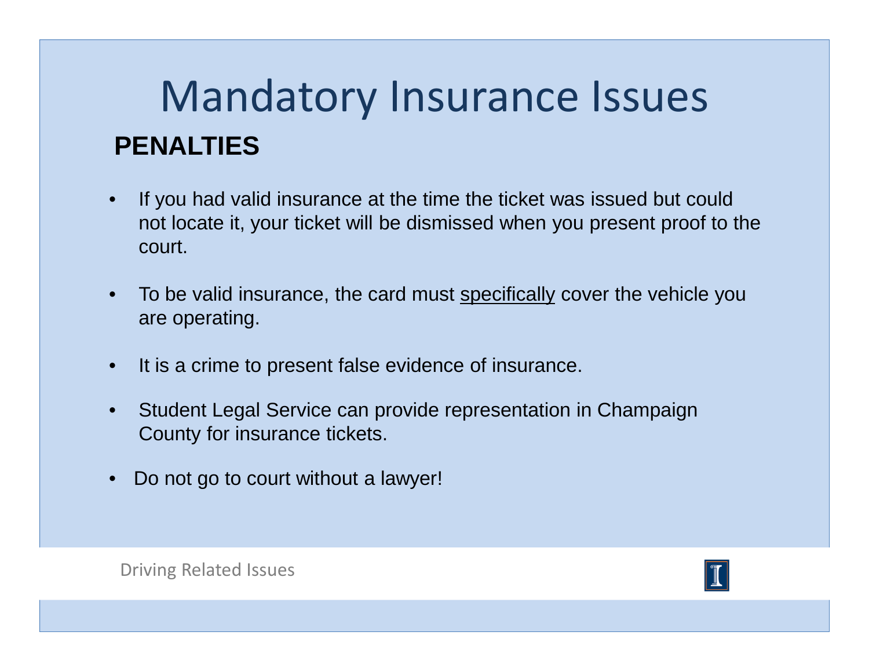### Mandatory Insurance Issues**PENALTIES**

- • If you had valid insurance at the time the ticket was issued but could not locate it, your ticket will be dismissed when you present proof to the court.
- $\bullet$ To be valid insurance, the card must specifically cover the vehicle you are operating.
- $\bullet$ It is a crime to present false evidence of insurance.
- • Student Legal Service can provide representation in Champaign County for insurance tickets.
- •Do not go to court without a lawyer!

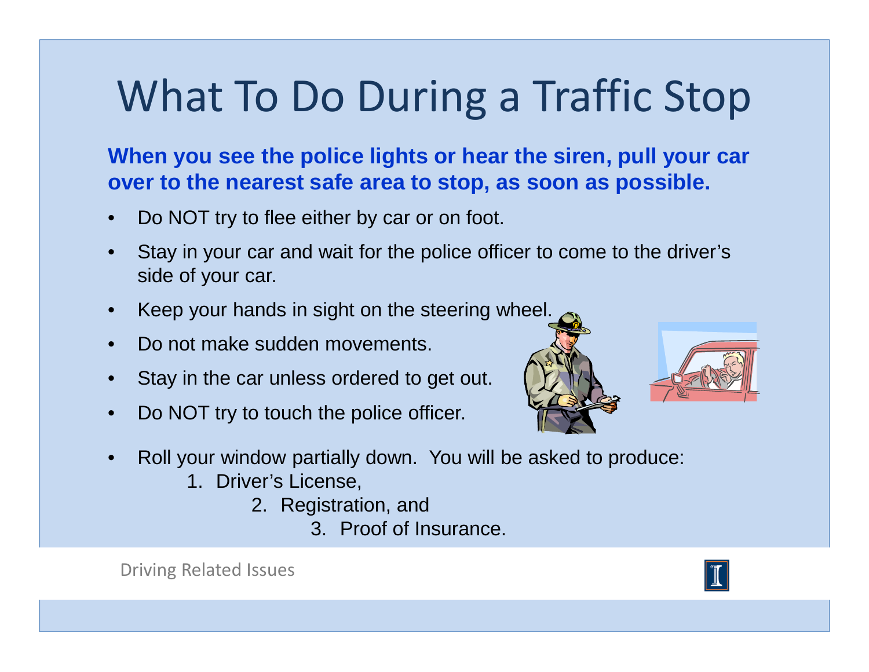**When you see the police lights or hear the siren, pull your car over to the nearest safe area to stop, as soon as possible.** 

- •Do NOT try to flee either by car or on foot.
- • Stay in your car and wait for the police officer to come to the driver's side of your car.
- $\bullet$ Keep your hands in sight on the steering wheel.
- $\bullet$ Do not make sudden movements.
- •Stay in the car unless ordered to get out.
- •Do NOT try to touch the police officer.



- $\bullet$  Roll your window partially down. You will be asked to produce:
	- 1. Driver's License,
		- 2. Registration, and
			- 3. Proof of Insurance.



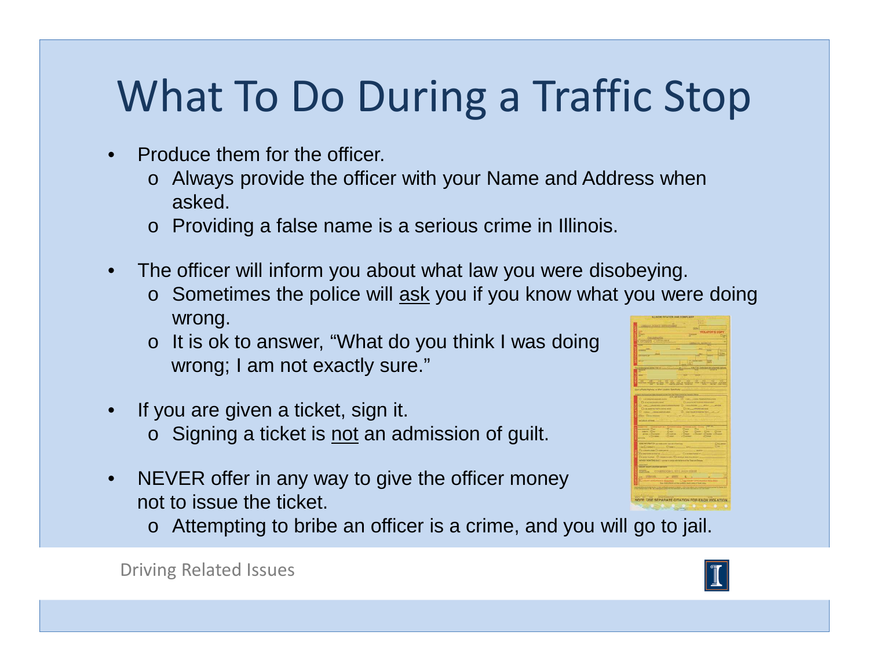- • Produce them for the officer.
	- o Always provide the officer with your Name and Address when asked.
	- o Providing a false name is a serious crime in Illinois.
- $\bullet$  The officer will inform you about what law you were disobeying.
	- o Sometimes the police will **ask** you if you know what you were doing wrong.
	- o It is ok to answer, "What do you think I was doing wrong; I am not exactly sure."
- $\bullet$  If you are given a ticket, sign it.  $\,\circ\,$  Signing a ticket is <u>not</u> an admission of guilt.
- • NEVER offer in any way to give the officer money not to issue the ticket.
	- o Attempting to bribe an officer is a crime, and you will go to jail.





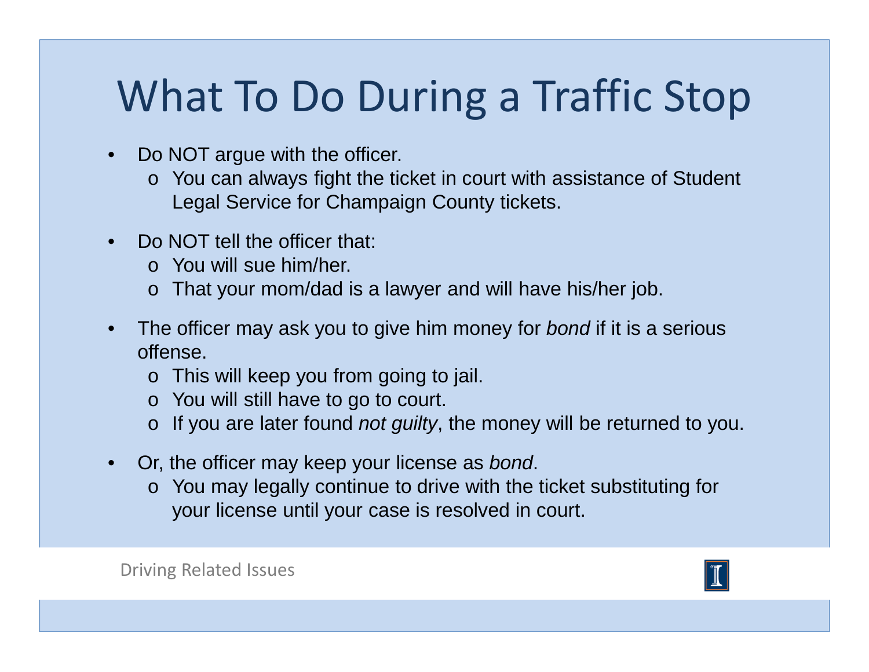- $\bullet$  Do NOT argue with the officer.
	- o You can always fight the ticket in court with assistance of Student Legal Service for Champaign County tickets.
- $\bullet$ Do NOT tell the officer that:
	- o You will sue him/her.
	- o That your mom/dad is a lawyer and will have his/her job.
- $\bullet$ The officer may ask you to give him money for bond if it is a serious offense.
	- o This will keep you from going to jail.
	- o You will still have to go to court.
	- $\circ$  If you are later found *not guilty*, the money will be returned to you.
- • Or, the officer may keep your license as bond.
	- o You may legally continue to drive with the ticket substituting for your license until your case is resolved in court.

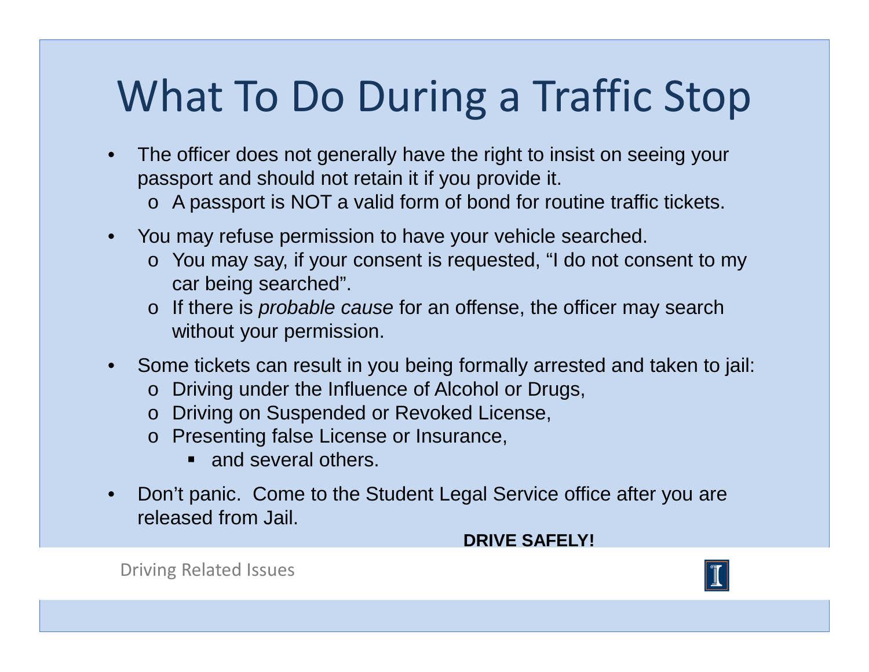- The officer does not generally have the right to insist on seeing your passport and should not retain it if you provide it.
	- o A passport is NOT a valid form of bond for routine traffic tickets.
- • You may refuse permission to have your vehicle searched.
	- o You may say, if your consent is requested, "I do not consent to my car being searched".
	- o If there is *probable cause* for an offense, the officer may search without your permission.
- Some tickets can result in you being formally arrested and taken to jail:
	- o Driving under the Influence of Alcohol or Drugs,
	- o Driving on Suspended or Revoked License,
	- o Presenting false License or Insurance,
		- and several others.
- $\bullet$  Don't panic. Come to the Student Legal Service office after you are released from Jail.

#### **DRIVE SAFELY!**

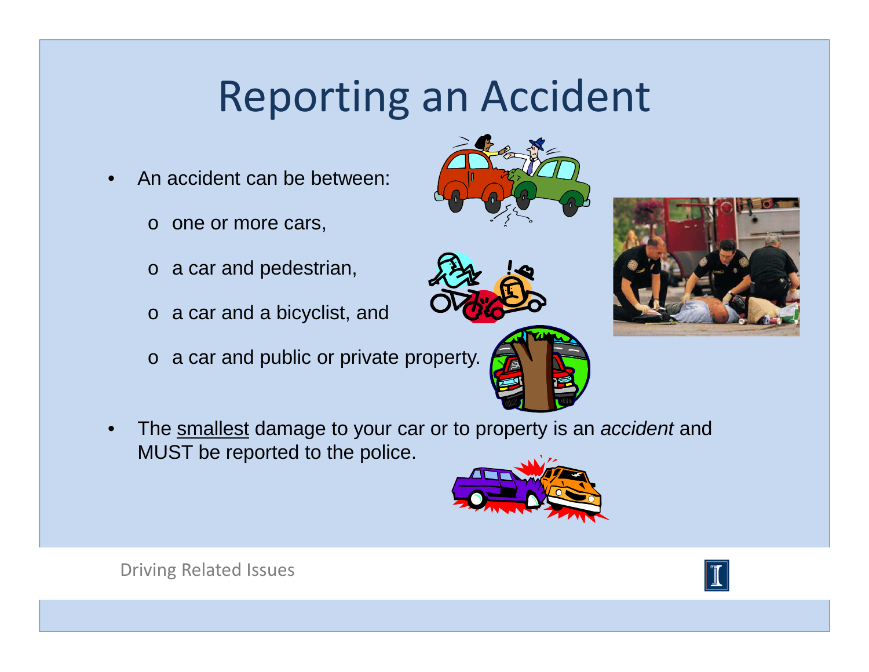- • An accident can be between:
	- o one or more cars,
	- o a car and pedestrian,
	- o a car and a bicyclist, and
	- o a car and public or private property.
- •The smallest damage to your car or to property is an *accident* and MUST be reported to the police.











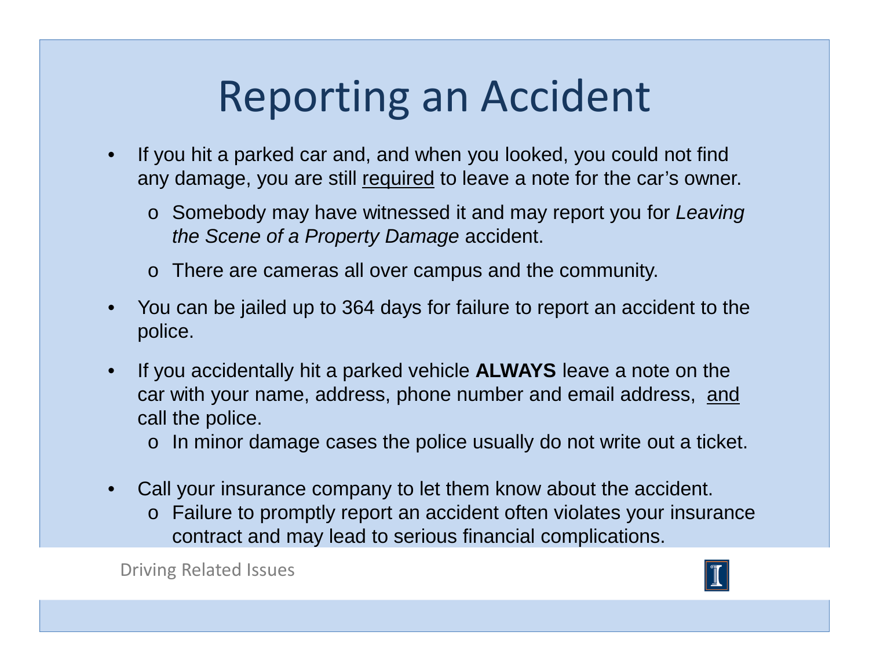- $\bullet$  If you hit a parked car and, and when you looked, you could not find any damage, you are still required to leave a note for the car's owner.
	- o Somebody may have witnessed it and may report you for Leaving the Scene of a Property Damage accident.
	- o There are cameras all over campus and the community.
- $\bullet$  You can be jailed up to 364 days for failure to report an accident to the police.
- $\bullet$  If you accidentally hit a parked vehicle **ALWAYS** leave a note on the car with your name, address, phone number and email address, andcall the police.
	- $\circ$  In minor damage cases the police usually do not write out a ticket.
- $\bullet$  Call your insurance company to let them know about the accident.
	- o Failure to promptly report an accident often violates your insurance contract and may lead to serious financial complications.

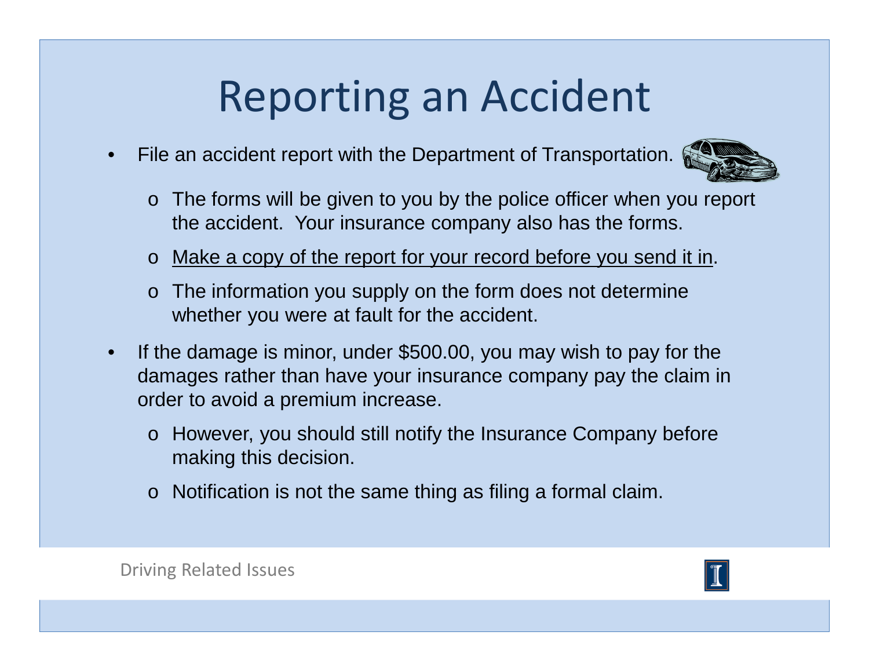•File an accident report with the Department of Transportation.



- o The forms will be given to you by the police officer when you report the accident. Your insurance company also has the forms.
- o Make a copy of the report for your record before you send it in.
- o The information you supply on the form does not determine whether you were at fault for the accident.
- $\bullet$  If the damage is minor, under \$500.00, you may wish to pay for the damages rather than have your insurance company pay the claim in order to avoid a premium increase.
	- o However, you should still notify the Insurance Company before making this decision.
	- $\circ$  Notification is not the same thing as filing a formal claim.

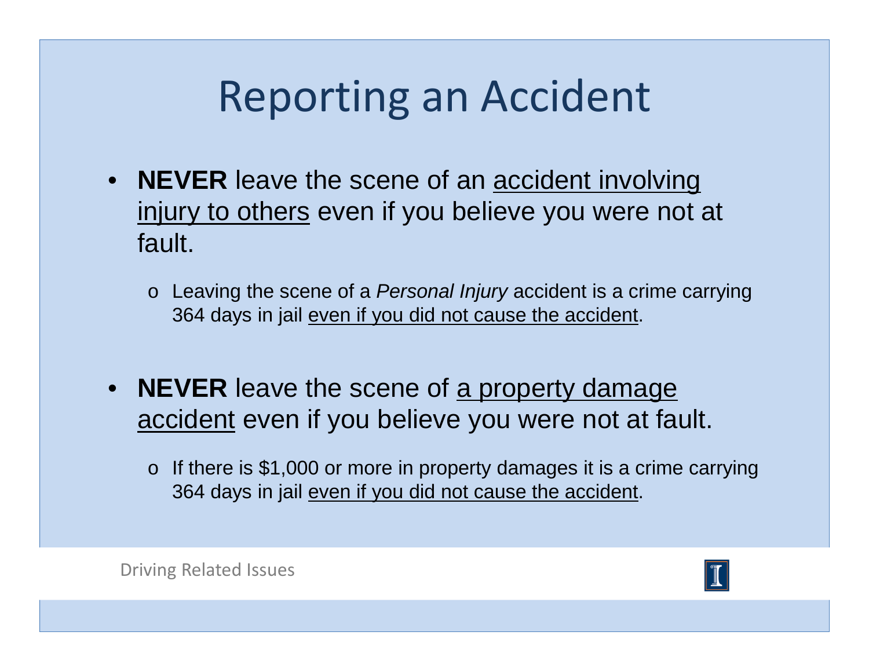- **NEVER** leave the scene of an **accident involving** injury to others even if you believe you were not at fault.
	- o Leaving the scene of a *Personal Injury* accident is a crime carrying 364 days in jail even if you did not cause the accident.
- **NEVER** leave the scene of <u>a property damage</u> accident even if you believe you were not at fault.
	- $\circ$  If there is \$1,000 or more in property damages it is a crime carrying 364 days in jail even if you did not cause the accident.



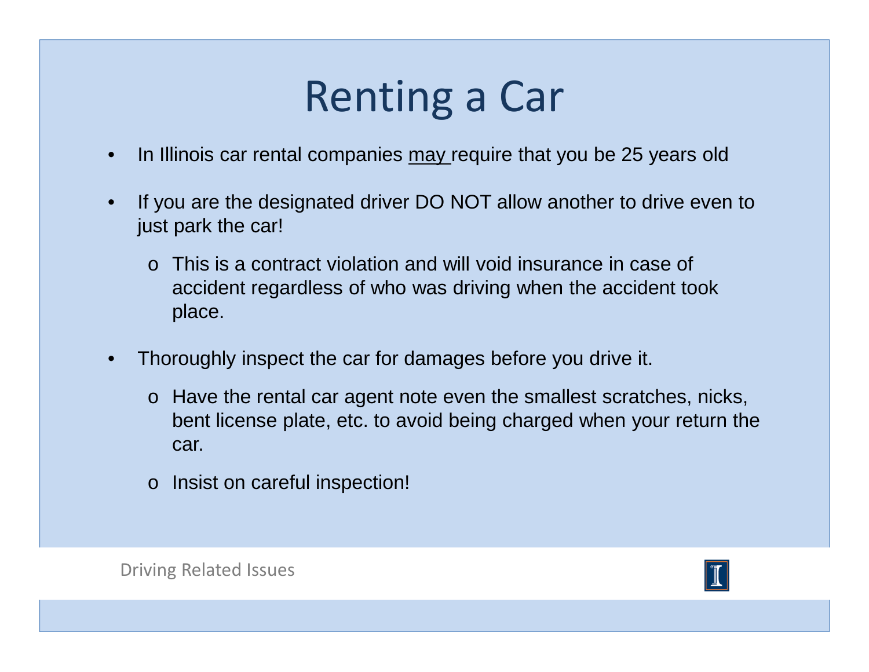- $\bullet$ In Illinois car rental companies may require that you be 25 years old
- $\bullet$  If you are the designated driver DO NOT allow another to drive even to just park the car!
	- o This is a contract violation and will void insurance in case of accident regardless of who was driving when the accident took place.
- • Thoroughly inspect the car for damages before you drive it.
	- o Have the rental car agent note even the smallest scratches, nicks, bent license plate, etc. to avoid being charged when your return the car.
	- o Insist on careful inspection!

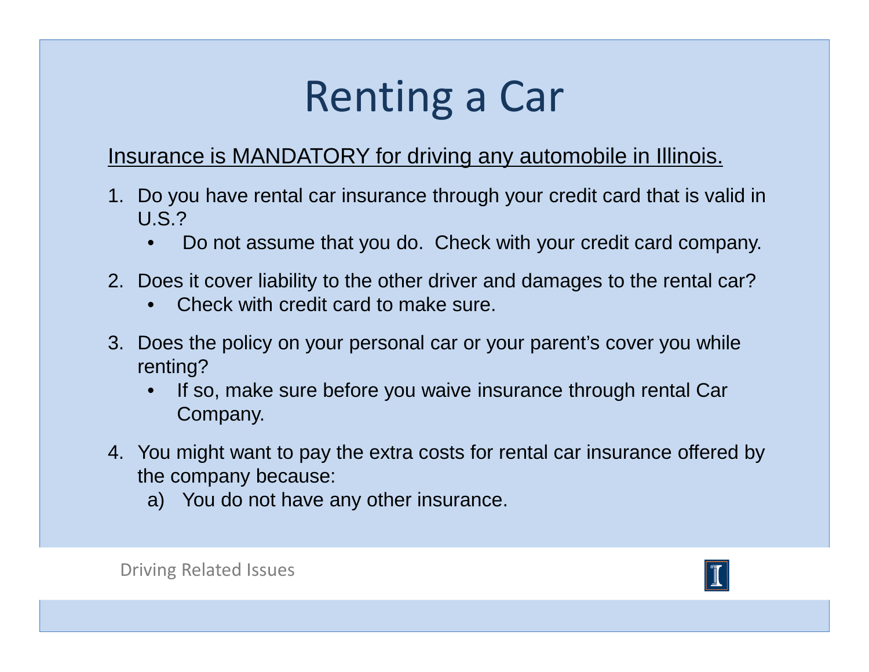### Insurance is MANDATORY for driving any automobile in Illinois.

- 1. Do you have rental car insurance through your credit card that is valid in U.S.?
	- •Do not assume that you do. Check with your credit card company.
- 2. Does it cover liability to the other driver and damages to the rental car?
	- •Check with credit card to make sure.
- 3. Does the policy on your personal car or your parent's cover you while renting?
	- • If so, make sure before you waive insurance through rental Car Company.
- 4. You might want to pay the extra costs for rental car insurance offered by the company because:
	- a) You do not have any other insurance.



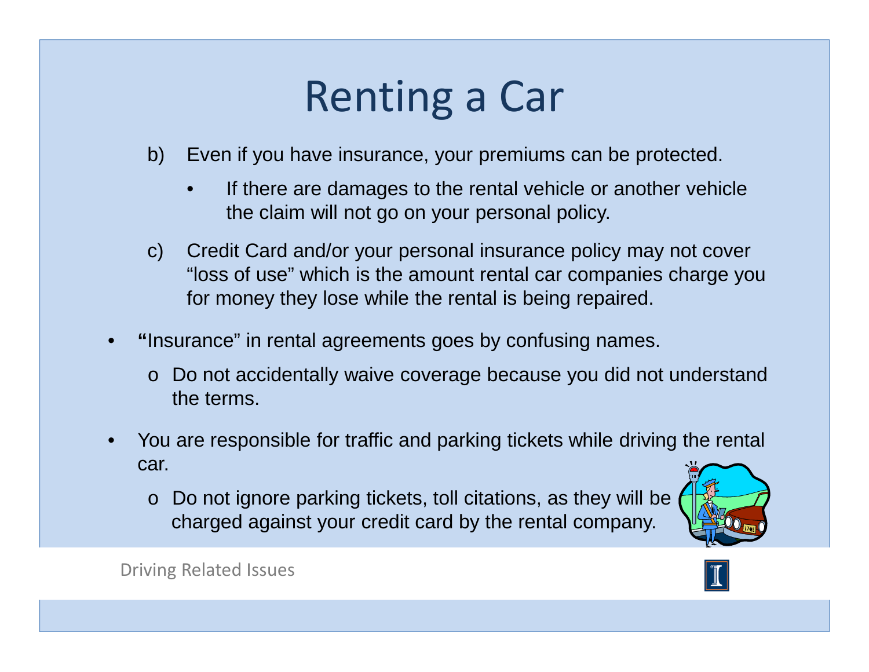- b) Even if you have insurance, your premiums can be protected.
	- • If there are damages to the rental vehicle or another vehicle the claim will not go on your personal policy.
- c) Credit Card and/or your personal insurance policy may not cover "loss of use" which is the amount rental car companies charge you for money they lose while the rental is being repaired.
- • **"**Insurance" in rental agreements goes by confusing names.
	- o Do not accidentally waive coverage because you did not understand the terms.
- • You are responsible for traffic and parking tickets while driving the rental car.
	- o Do not ignore parking tickets, toll citations, as they will be charged against your credit card by the rental company.



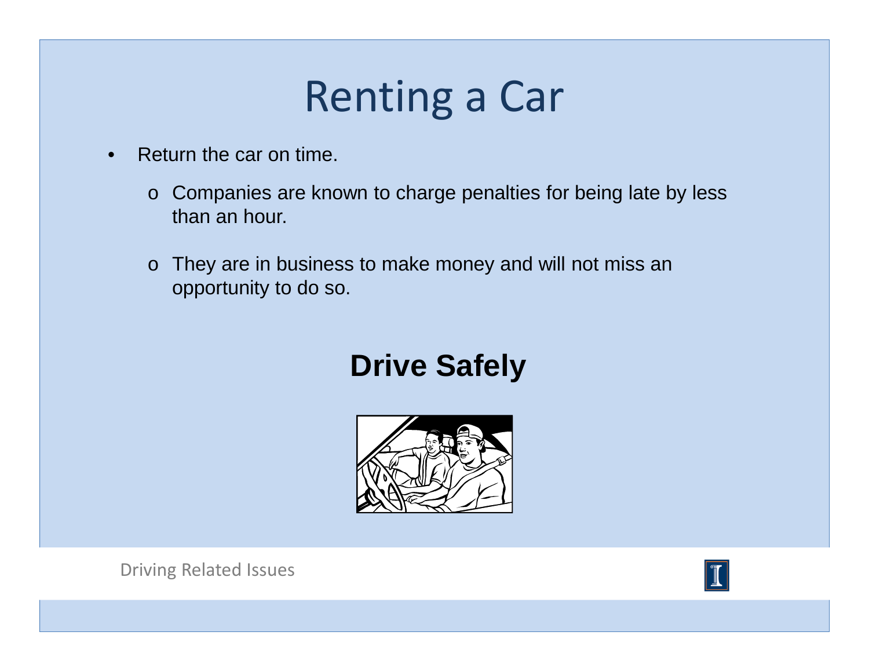- • Return the car on time.
	- o Companies are known to charge penalties for being late by less than an hour.
	- o They are in business to make money and will not miss an opportunity to do so.

### **Drive Safely**



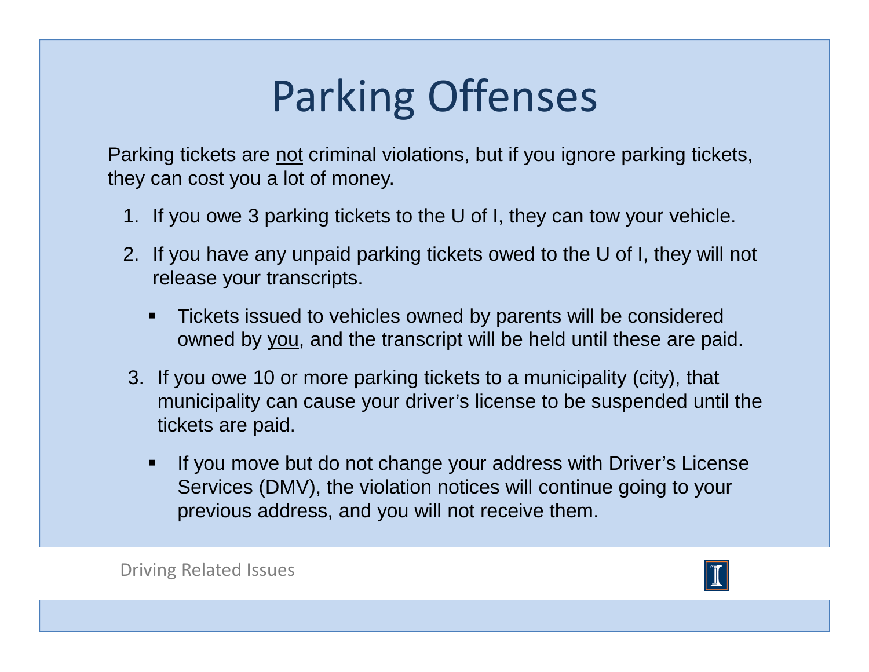# Parking Offenses

Parking tickets are not criminal violations, but if you ignore parking tickets, they can cost you a lot of money.

- 1. If you owe 3 parking tickets to the U of I, they can tow your vehicle.
- 2. If you have any unpaid parking tickets owed to the U of I, they will not release your transcripts.
	- Tickets issued to vehicles owned by parents will be consideredowned by <u>you,</u> and the transcript will be held until these are paid.
- 3. If you owe 10 or more parking tickets to a municipality (city), that municipality can cause your driver's license to be suspended until the tickets are paid.
	- If you move but do not change your address with Driver's License Services (DMV), the violation notices will continue going to your previous address, and you will not receive them.

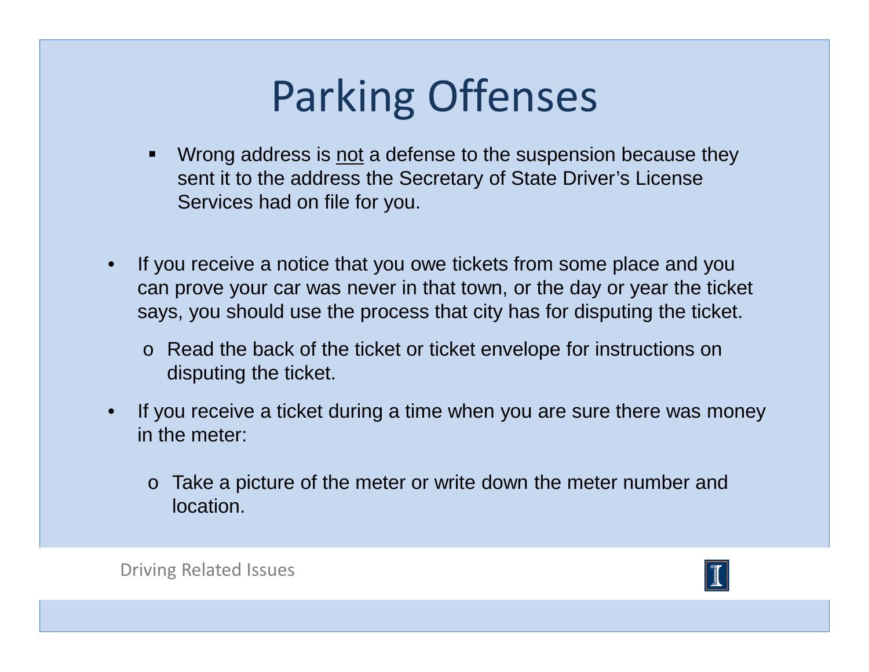# Parking Offenses

- -Wrong address is not a defense to the suspension because they sent it to the address the Secretary of State Driver's License Services had on file for you.
- • If you receive a notice that you owe tickets from some place and you can prove your car was never in that town, or the day or year the ticket says, you should use the process that city has for disputing the ticket.
	- o Read the back of the ticket or ticket envelope for instructions on disputing the ticket.
- $\bullet$  If you receive a ticket during a time when you are sure there was money in the meter:
	- o Take a picture of the meter or write down the meter number and location.

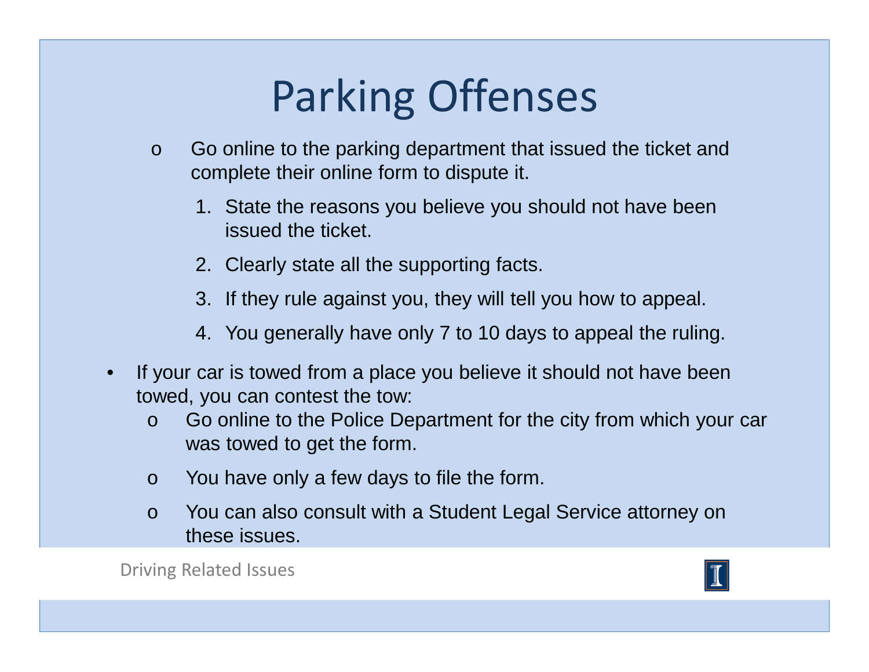# Parking Offenses

- o Go online to the parking department that issued the ticket and complete their online form to dispute it.
	- 1. State the reasons you believe you should not have beenissued the ticket.
	- 2. Clearly state all the supporting facts.
	- 3. If they rule against you, they will tell you how to appeal.
	- 4. You generally have only 7 to 10 days to appeal the ruling.
- • If your car is towed from a place you believe it should not have been towed, you can contest the tow:
	- o Go online to the Police Department for the city from which your car was towed to get the form.
	- oYou have only a few days to file the form.
	- o You can also consult with a Student Legal Service attorney on these issues.

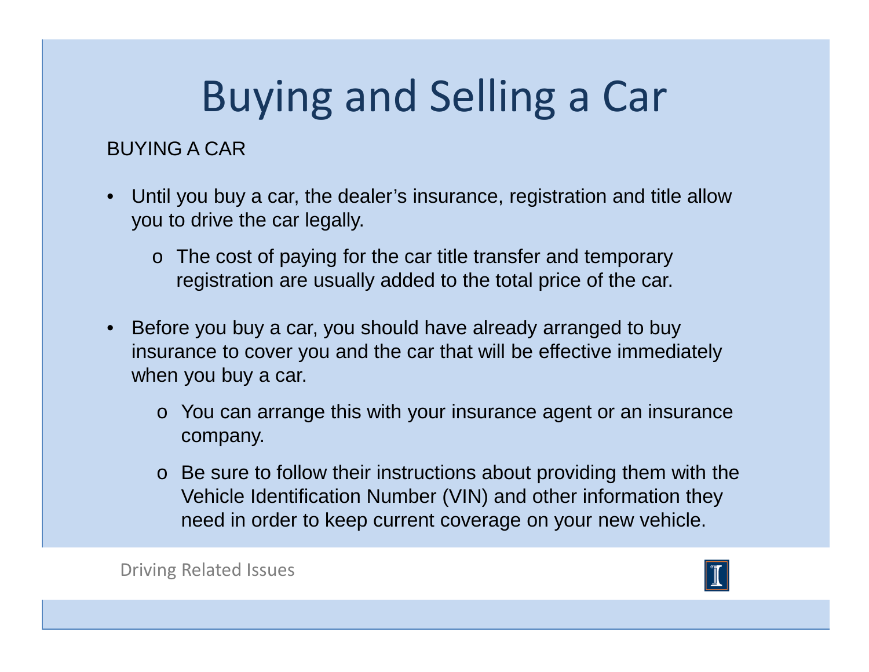#### BUYING A CAR

- Until you buy a car, the dealer's insurance, registration and title allow you to drive the car legally.
	- o The cost of paying for the car title transfer and temporary registration are usually added to the total price of the car.
- Before you buy a car, you should have already arranged to buy insurance to cover you and the car that will be effective immediately when you buy a car.
	- o You can arrange this with your insurance agent or an insurance company.
	- $\circ$  Be sure to follow their instructions about providing them with the Vehicle Identification Number (VIN) and other information they need in order to keep current coverage on your new vehicle.

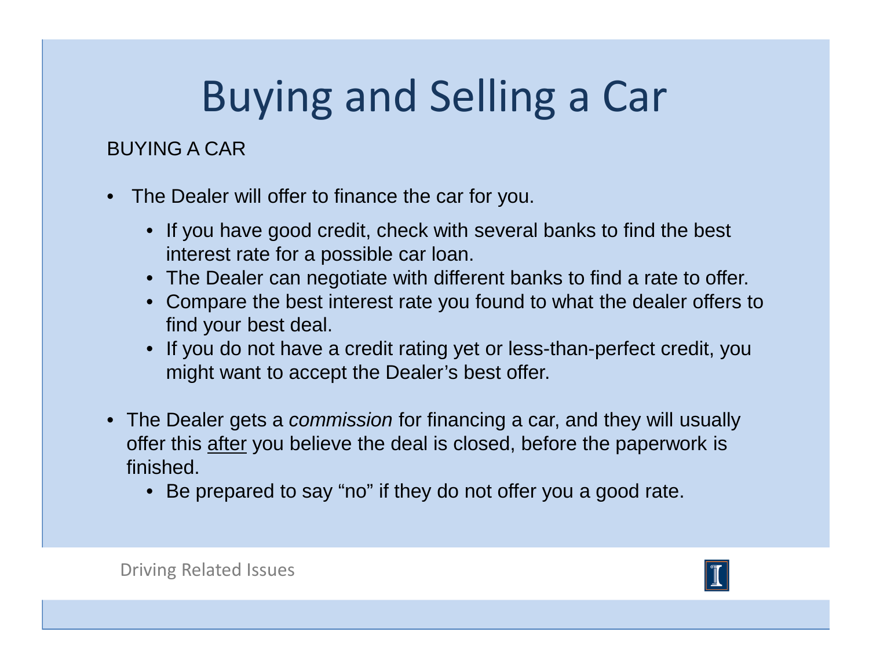#### BUYING A CAR

- $\bullet$  The Dealer will offer to finance the car for you.
	- If you have good credit, check with several banks to find the best interest rate for a possible car loan.
	- The Dealer can negotiate with different banks to find a rate to offer.
	- Compare the best interest rate you found to what the dealer offers to find your best deal.
	- If you do not have a credit rating yet or less-than-perfect credit, you might want to accept the Dealer's best offer.
- The Dealer gets a *commission* for financing a car, and they will usually offer this after you believe the deal is closed, before the paperwork is finished.
	- Be prepared to say "no" if they do not offer you a good rate.

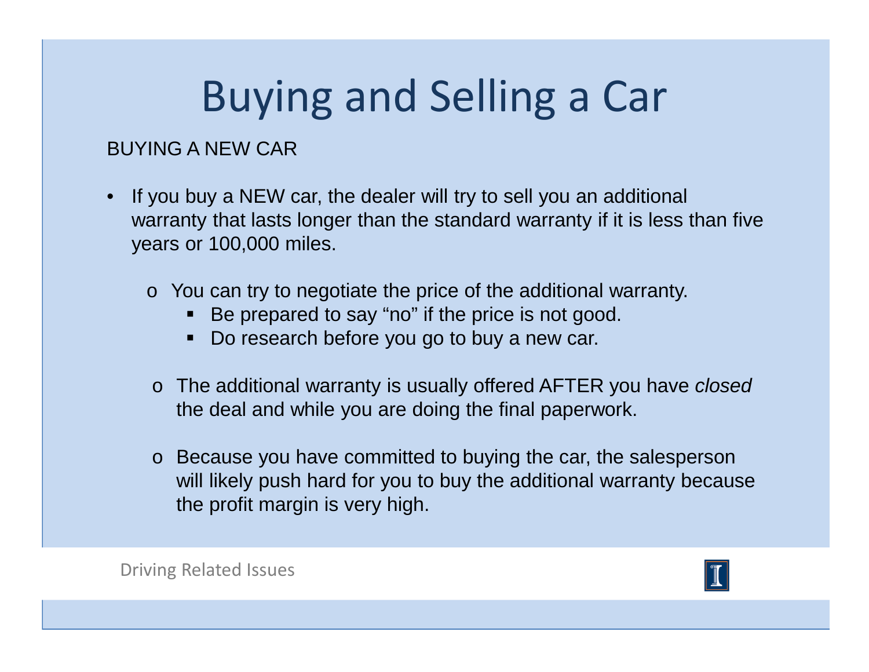#### BUYING A NEW CAR

- If you buy a NEW car, the dealer will try to sell you an additional warranty that lasts longer than the standard warranty if it is less than five years or 100,000 miles.
	- o You can try to negotiate the price of the additional warranty.
		- Be prepared to say "no" if the price is not good.
		- Do research before you go to buy a new car.
	- o The additional warranty is usually offered AFTER you have closed the deal and while you are doing the final paperwork.
	- o Because you have committed to buying the car, the salesperson will likely push hard for you to buy the additional warranty because the profit margin is very high.

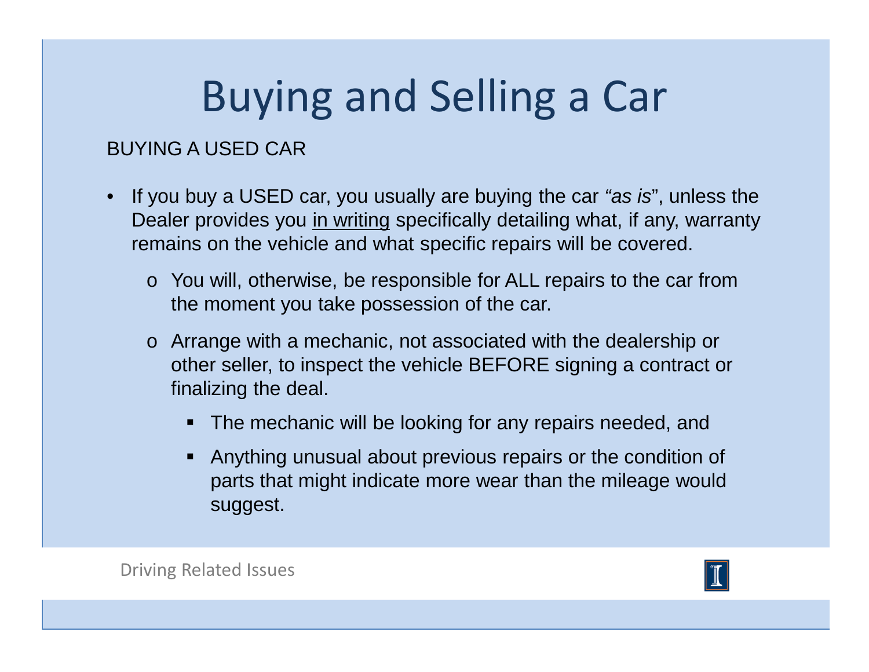#### BUYING A USED CAR

- If you buy a USED car, you usually are buying the car "as is", unless the Dealer provides you in writing specifically detailing what, if any, warranty remains on the vehicle and what specific repairs will be covered.
	- o You will, otherwise, be responsible for ALL repairs to the car from the moment you take possession of the car.
	- o Arrange with a mechanic, not associated with the dealership or other seller, to inspect the vehicle BEFORE signing a contract or finalizing the deal.
		- **The mechanic will be looking for any repairs needed, and**
		- Anything unusual about previous repairs or the condition of parts that might indicate more wear than the mileage would suggest.

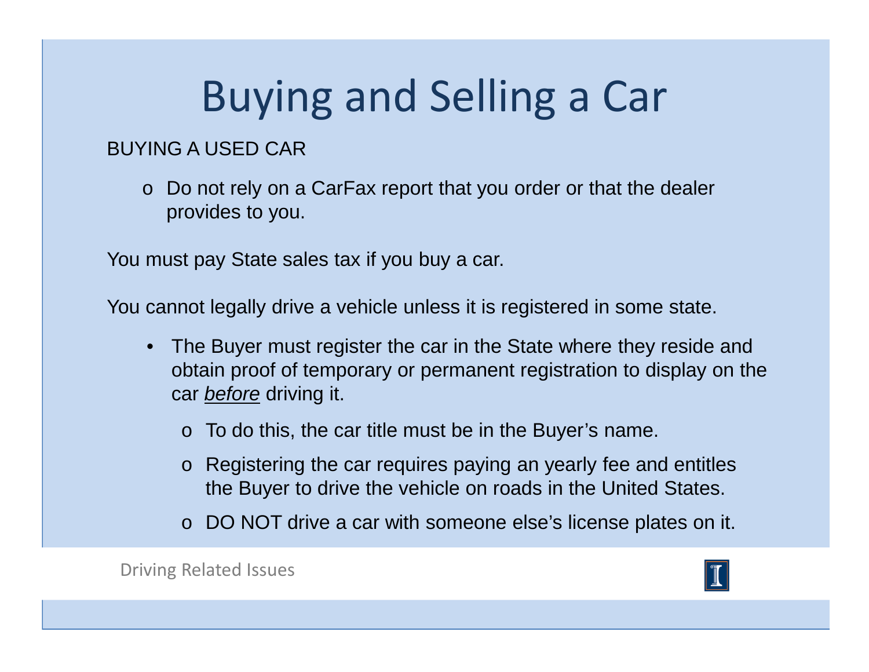#### BUYING A USED CAR

o Do not rely on a CarFax report that you order or that the dealer provides to you.

You must pay State sales tax if you buy a car.

You cannot legally drive a vehicle unless it is registered in some state.

- The Buyer must register the car in the State where they reside and obtain proof of temporary or permanent registration to display on the car <u>*before*</u> driving it.
	- $\circ$  To do this, the car title must be in the Buyer's name.
	- o Registering the car requires paying an yearly fee and entitles the Buyer to drive the vehicle on roads in the United States.
	- o DO NOT drive a car with someone else's license plates on it.

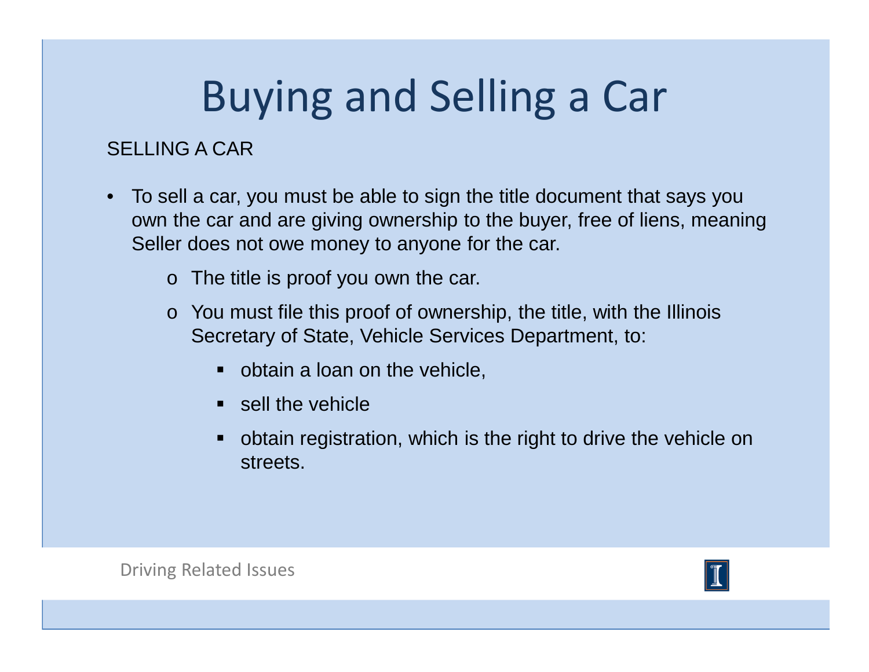#### SELLING A CAR

- $\bullet$  To sell a car, you must be able to sign the title document that says you own the car and are giving ownership to the buyer, free of liens, meaning Seller does not owe money to anyone for the car.
	- o The title is proof you own the car.
	- $\circ$  You must file this proof of ownership, the title, with the Illinois Secretary of State, Vehicle Services Department, to:
		- **•** obtain a loan on the vehicle,
		- **•** sell the vehicle
		- obtain registration, which is the right to drive the vehicle on streets.

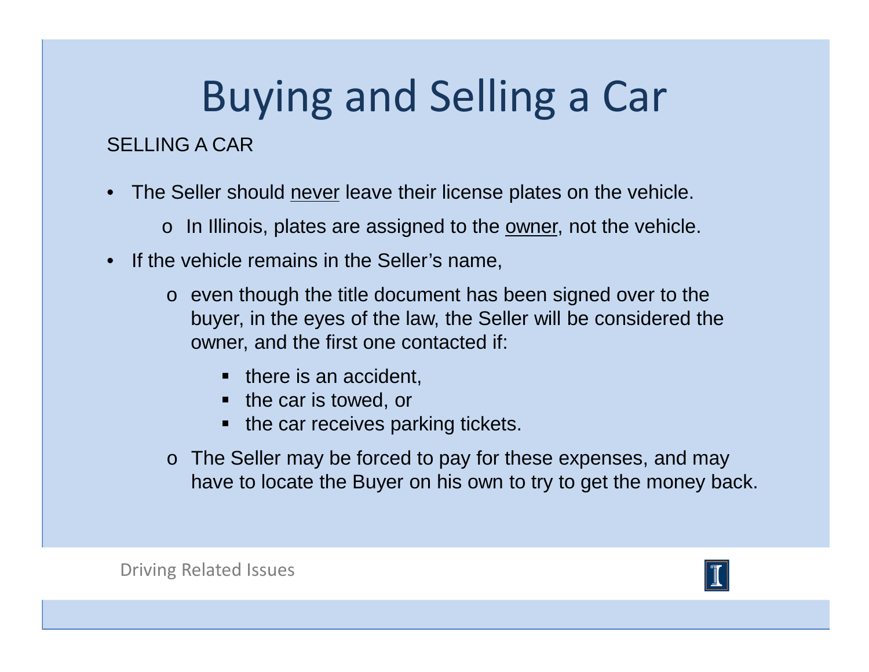### SELLING A CAR

- • The Seller should never leave their license plates on the vehicle.
	- $\circ$  In Illinois, plates are assigned to the <u>owner,</u> not the vehicle.
- If the vehicle remains in the Seller's name,
	- o even though the title document has been signed over to the buyer, in the eyes of the law, the Seller will be considered the owner, and the first one contacted if:
		- there is an accident,
		- the car is towed, or
		- the car receives parking tickets.
	- o The Seller may be forced to pay for these expenses, and may have to locate the Buyer on his own to try to get the money back.